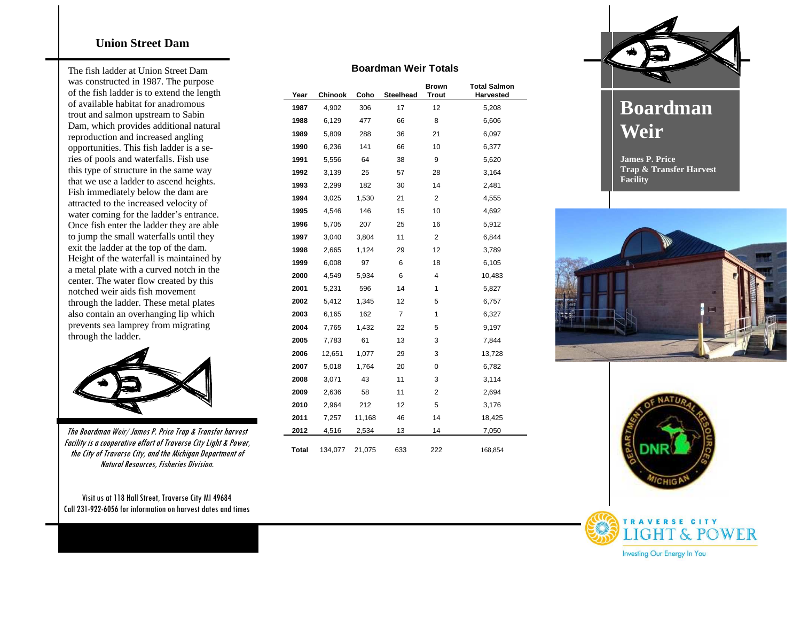## **Union Street Dam**

The fish ladder at Union Street Dam was constructed in 1987. The purpose of the fish ladder is to extend the length of available habitat for anadromous trout and salmon upstream to Sabin Dam, which provides additional natural reproduction and increased angling opportunities. This fish ladder is a series of pools and waterfalls. Fish use this type of structure in the same way that we use a ladder to ascend heights. Fish immediately below the dam are attracted to the increased velocity of water coming for the ladder's entrance. Once fish enter the ladder they are able to jump the small waterfalls until they exit the ladder at the top of the dam. Height of the waterfall is maintained by a metal plate with a curved notch in the center. The water flow created by this notched weir aids fish movement through the ladder. These metal plates also contain an overhanging lip which prevents sea lamprey from migrating through the ladder.



The Boardman Weir/ James P. Price Trap & Transfer harvest Facility is a cooperative effort of Traverse City Light & Power, the City of Traverse City, and the Michigan Department of Natural Resources, Fisheries Division.

Visit us at 118 Hall Street, Traverse City MI 49684 Call 231-922-6056for information on harvest dates and times

| <b>Boardman Weir Totals</b> |  |  |
|-----------------------------|--|--|
|-----------------------------|--|--|

| Year         | <b>Chinook</b> | Coho   | Steelhead | <b>Brown</b><br><b>Trout</b> | <b>Total Salmon</b><br>Harvested |
|--------------|----------------|--------|-----------|------------------------------|----------------------------------|
| 1987         | 4,902          | 306    | 17        | 12                           | 5,208                            |
| 1988         | 6,129          | 477    | 66        | 8                            | 6,606                            |
| 1989         | 5,809          | 288    | 36        | 21                           | 6,097                            |
| 1990         | 6,236          | 141    | 66        | 10                           | 6,377                            |
| 1991         | 5,556          | 64     | 38        | 9                            | 5,620                            |
| 1992         | 3,139          | 25     | 57        | 28                           | 3,164                            |
| 1993         | 2,299          | 182    | 30        | 14                           | 2,481                            |
| 1994         | 3,025          | 1,530  | 21        | 2                            | 4,555                            |
| 1995         | 4,546          | 146    | 15        | 10                           | 4,692                            |
| 1996         | 5,705          | 207    | 25        | 16                           | 5,912                            |
| 1997         | 3,040          | 3,804  | 11        | 2                            | 6,844                            |
| 1998         | 2,665          | 1,124  | 29        | 12                           | 3,789                            |
| 1999         | 6,008          | 97     | 6         | 18                           | 6,105                            |
| 2000         | 4,549          | 5,934  | 6         | 4                            | 10,483                           |
| 2001         | 5,231          | 596    | 14        | 1                            | 5,827                            |
| 2002         | 5,412          | 1,345  | 12        | 5                            | 6,757                            |
| 2003         | 6,165          | 162    | 7         | 1                            | 6,327                            |
| 2004         | 7,765          | 1,432  | 22        | 5                            | 9,197                            |
| 2005         | 7,783          | 61     | 13        | 3                            | 7,844                            |
| 2006         | 12,651         | 1,077  | 29        | 3                            | 13,728                           |
| 2007         | 5,018          | 1,764  | 20        | 0                            | 6,782                            |
| 2008         | 3,071          | 43     | 11        | 3                            | 3,114                            |
| 2009         | 2,636          | 58     | 11        | 2                            | 2,694                            |
| 2010         | 2,964          | 212    | 12        | 5                            | 3,176                            |
| 2011         | 7,257          | 11,168 | 46        | 14                           | 18,425                           |
| 2012         | 4,516          | 2,534  | 13        | 14                           | 7,050                            |
| <b>Total</b> | 134,077        | 21,075 | 633       | 222                          | 168,854                          |



## **Boardman Weir**

**James P. Price Trap & Transfer Harvest Facility**